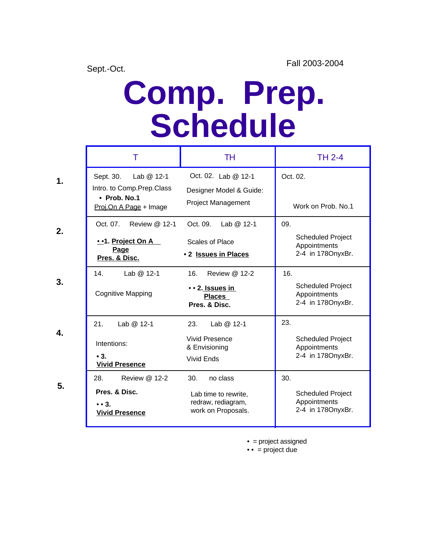**1.**

 **2.**

 **3.**

 **4.**

**5.**

## **Comp. Prep. Schedule**

| Т                                                                                                 | TH                                                                                  | <b>TH 2-4</b>                                                        |
|---------------------------------------------------------------------------------------------------|-------------------------------------------------------------------------------------|----------------------------------------------------------------------|
| Sept. 30.<br>Lab $@12-1$<br>Intro. to Comp. Prep. Class<br>• Prob. No.1<br>Proj.On A Page + Image | Oct. 02. Lab @ 12-1<br>Designer Model & Guide:<br><b>Project Management</b>         | Oct. 02.<br>Work on Prob. No.1                                       |
| Oct. 07.<br>Review @ 12-1<br>• • 1. Project On A<br>Page<br>Pres. & Disc.                         | Oct. 09. Lab @ 12-1<br>Scales of Place<br>• 2 Issues in Places                      | 09.<br><b>Scheduled Project</b><br>Appointments<br>2-4 in 1780nyxBr. |
| Lab @ 12-1<br>14 <sub>1</sub><br><b>Cognitive Mapping</b>                                         | 16.<br>Review @ 12-2<br>• • 2. Issues in<br><b>Places</b><br>Pres. & Disc.          | 16.<br><b>Scheduled Project</b><br>Appointments<br>2-4 in 1780nyxBr. |
| 21.<br>Lab @ 12-1<br>Intentions:<br>$\bullet$ 3.<br><b>Vivid Presence</b>                         | 23.<br>Lab @ 12-1<br><b>Vivid Presence</b><br>& Envisioning<br>Vivid Ends           | 23.<br><b>Scheduled Project</b><br>Appointments<br>2-4 in 178OnyxBr. |
| Review @ 12-2<br>28.<br>Pres. & Disc.<br>$\bullet$ $\bullet$ 3.<br><b>Vivid Presence</b>          | 30.<br>no class<br>Lab time to rewrite,<br>redraw, rediagram,<br>work on Proposals. | 30.<br><b>Scheduled Project</b><br>Appointments<br>2-4 in 1780nyxBr. |

• = project assigned

 $\bullet \bullet$  = project due